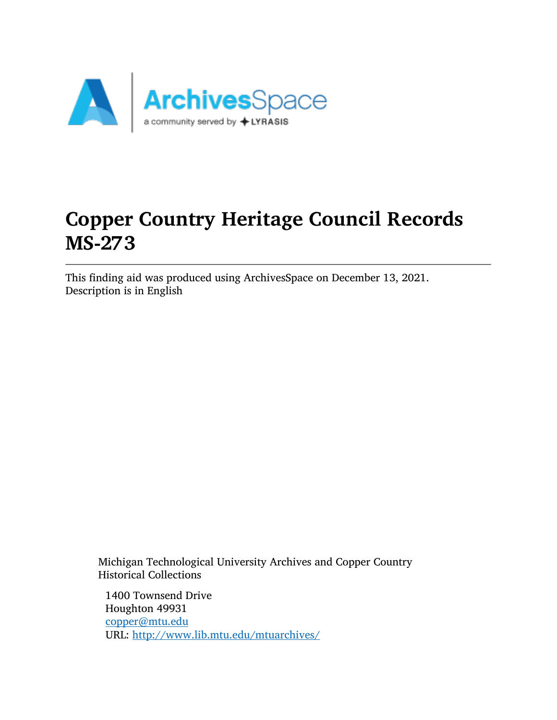

# Copper Country Heritage Council Records MS-273

This finding aid was produced using ArchivesSpace on December 13, 2021. Description is in English

Michigan Technological University Archives and Copper Country Historical Collections

1400 Townsend Drive Houghton 49931 [copper@mtu.edu](mailto:copper@mtu.edu) URL: <http://www.lib.mtu.edu/mtuarchives/>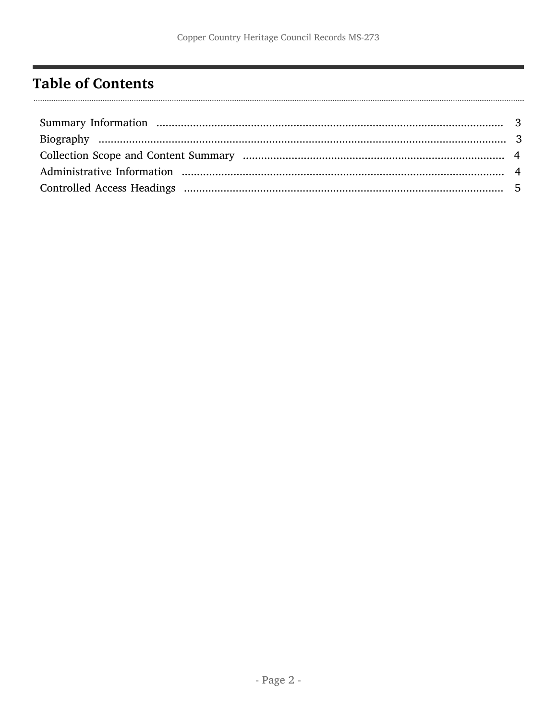# <span id="page-1-0"></span>**Table of Contents**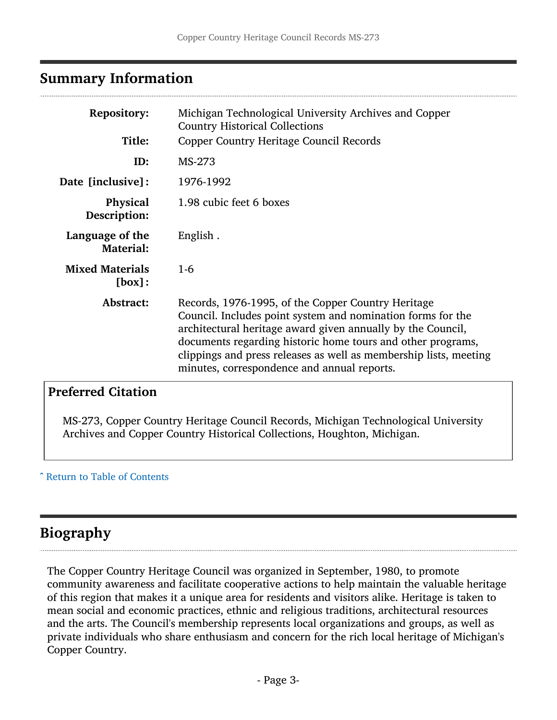### <span id="page-2-0"></span>Summary Information

| <b>Repository:</b><br>Title:        | Michigan Technological University Archives and Copper<br><b>Country Historical Collections</b><br><b>Copper Country Heritage Council Records</b>                                                                                                                                                                                                                    |
|-------------------------------------|---------------------------------------------------------------------------------------------------------------------------------------------------------------------------------------------------------------------------------------------------------------------------------------------------------------------------------------------------------------------|
| ID:                                 | MS-273                                                                                                                                                                                                                                                                                                                                                              |
| Date [inclusive]:                   | 1976-1992                                                                                                                                                                                                                                                                                                                                                           |
| <b>Physical</b><br>Description:     | 1.98 cubic feet 6 boxes                                                                                                                                                                                                                                                                                                                                             |
| Language of the<br><b>Material:</b> | English.                                                                                                                                                                                                                                                                                                                                                            |
| <b>Mixed Materials</b><br>[box]:    | $1-6$                                                                                                                                                                                                                                                                                                                                                               |
| Abstract:                           | Records, 1976-1995, of the Copper Country Heritage<br>Council. Includes point system and nomination forms for the<br>architectural heritage award given annually by the Council,<br>documents regarding historic home tours and other programs,<br>clippings and press releases as well as membership lists, meeting<br>minutes, correspondence and annual reports. |

### Preferred Citation

MS-273, Copper Country Heritage Council Records, Michigan Technological University Archives and Copper Country Historical Collections, Houghton, Michigan.

#### ^ [Return to Table of Contents](#page-1-0)

### <span id="page-2-1"></span>Biography

The Copper Country Heritage Council was organized in September, 1980, to promote community awareness and facilitate cooperative actions to help maintain the valuable heritage of this region that makes it a unique area for residents and visitors alike. Heritage is taken to mean social and economic practices, ethnic and religious traditions, architectural resources and the arts. The Council's membership represents local organizations and groups, as well as private individuals who share enthusiasm and concern for the rich local heritage of Michigan's Copper Country.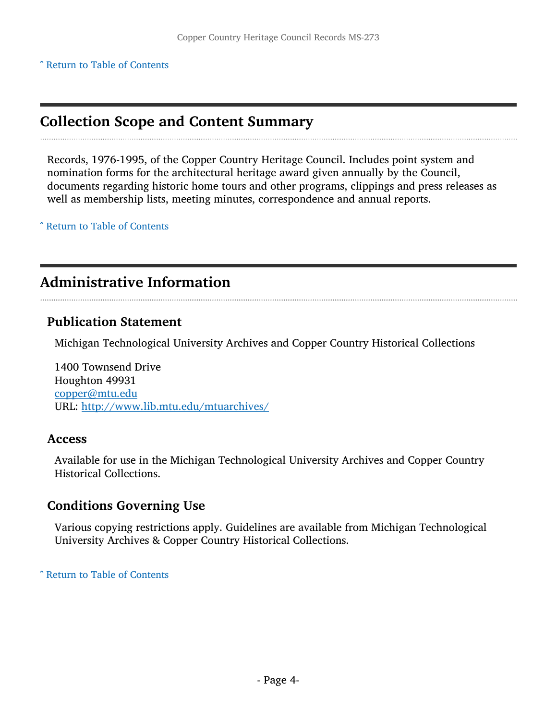^ [Return to Table of Contents](#page-1-0)

## <span id="page-3-0"></span>Collection Scope and Content Summary

Records, 1976-1995, of the Copper Country Heritage Council. Includes point system and nomination forms for the architectural heritage award given annually by the Council, documents regarding historic home tours and other programs, clippings and press releases as well as membership lists, meeting minutes, correspondence and annual reports.

^ [Return to Table of Contents](#page-1-0)

## <span id="page-3-1"></span>Administrative Information

#### Publication Statement

Michigan Technological University Archives and Copper Country Historical Collections

1400 Townsend Drive Houghton 49931 [copper@mtu.edu](mailto:copper@mtu.edu) URL: <http://www.lib.mtu.edu/mtuarchives/>

#### Access

Available for use in the Michigan Technological University Archives and Copper Country Historical Collections.

#### Conditions Governing Use

Various copying restrictions apply. Guidelines are available from Michigan Technological University Archives & Copper Country Historical Collections.

^ [Return to Table of Contents](#page-1-0)